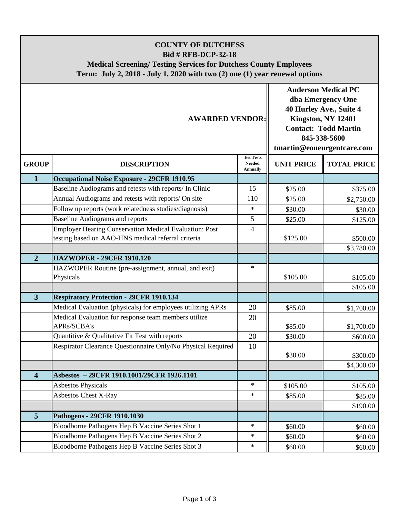## **COUNTY OF DUTCHESS Bid # RFB-DCP-32-18 Medical Screening/ Testing Services for Dutchess County Employees Term: July 2, 2018 - July 1, 2020 with two (2) one (1) year renewal options**

| <b>AWARDED VENDOR:</b> |                                                               |                                                      | <b>Anderson Medical PC</b><br>dba Emergency One<br>40 Hurley Ave., Suite 4<br>Kingston, NY 12401<br><b>Contact: Todd Martin</b><br>845-338-5600<br>tmartin@eoneurgentcare.com |                    |
|------------------------|---------------------------------------------------------------|------------------------------------------------------|-------------------------------------------------------------------------------------------------------------------------------------------------------------------------------|--------------------|
| <b>GROUP</b>           | <b>DESCRIPTION</b>                                            | <b>Est Tests</b><br><b>Needed</b><br><b>Annually</b> | <b>UNIT PRICE</b>                                                                                                                                                             | <b>TOTAL PRICE</b> |
| $\mathbf{1}$           | <b>Occupational Noise Exposure - 29CFR 1910.95</b>            |                                                      |                                                                                                                                                                               |                    |
|                        | Baseline Audiograms and retests with reports/ In Clinic       | 15                                                   | \$25.00                                                                                                                                                                       | \$375.00           |
|                        | Annual Audiograms and retests with reports/ On site           | 110                                                  | \$25.00                                                                                                                                                                       | \$2,750.00         |
|                        | Follow up reports (work relatedness studies/diagnosis)        | $\ast$                                               | \$30.00                                                                                                                                                                       | \$30.00            |
|                        | <b>Baseline Audiograms and reports</b>                        | 5                                                    | \$25.00                                                                                                                                                                       | \$125.00           |
|                        | <b>Employer Hearing Conservation Medical Evaluation: Post</b> | 4                                                    |                                                                                                                                                                               |                    |
|                        | testing based on AAO-HNS medical referral criteria            |                                                      | \$125.00                                                                                                                                                                      | \$500.00           |
|                        |                                                               |                                                      |                                                                                                                                                                               | \$3,780.00         |
| $\overline{2}$         | <b>HAZWOPER - 29CFR 1910.120</b>                              |                                                      |                                                                                                                                                                               |                    |
|                        | HAZWOPER Routine (pre-assignment, annual, and exit)           | $\ast$                                               |                                                                                                                                                                               |                    |
|                        | Physicals                                                     |                                                      | \$105.00                                                                                                                                                                      | \$105.00           |
|                        |                                                               |                                                      |                                                                                                                                                                               | \$105.00           |
| $\overline{3}$         | <b>Respiratory Protection - 29CFR 1910.134</b>                |                                                      |                                                                                                                                                                               |                    |
|                        | Medical Evaluation (physicals) for employees utilizing APRs   | 20                                                   | \$85.00                                                                                                                                                                       | \$1,700.00         |
|                        | Medical Evaluation for response team members utilize          | 20                                                   |                                                                                                                                                                               |                    |
|                        | APRs/SCBA's                                                   |                                                      | \$85.00                                                                                                                                                                       | \$1,700.00         |
|                        | Quantitive & Qualitative Fit Test with reports                | 20                                                   | \$30.00                                                                                                                                                                       | \$600.00           |
|                        | Respirator Clearance Questionnaire Only/No Physical Required  | 10                                                   |                                                                                                                                                                               |                    |
|                        |                                                               |                                                      | \$30.00                                                                                                                                                                       | \$300.00           |
|                        |                                                               |                                                      |                                                                                                                                                                               | \$4,300.00         |
| 4                      | Asbestos - 29CFR 1910.1001/29CFR 1926.1101                    | $\ast$                                               |                                                                                                                                                                               |                    |
|                        | <b>Asbestos Physicals</b>                                     | $\ast$                                               | \$105.00                                                                                                                                                                      | \$105.00           |
|                        | Asbestos Chest X-Ray                                          |                                                      | \$85.00                                                                                                                                                                       | \$85.00            |
|                        |                                                               |                                                      |                                                                                                                                                                               | \$190.00           |
| 5                      | Pathogens - 29CFR 1910.1030                                   |                                                      |                                                                                                                                                                               |                    |
|                        | Bloodborne Pathogens Hep B Vaccine Series Shot 1              | $\ast$                                               | \$60.00                                                                                                                                                                       | \$60.00            |
|                        | Bloodborne Pathogens Hep B Vaccine Series Shot 2              | $\ast$                                               | \$60.00                                                                                                                                                                       | \$60.00            |
|                        | Bloodborne Pathogens Hep B Vaccine Series Shot 3              | $\ast$                                               | \$60.00                                                                                                                                                                       | \$60.00            |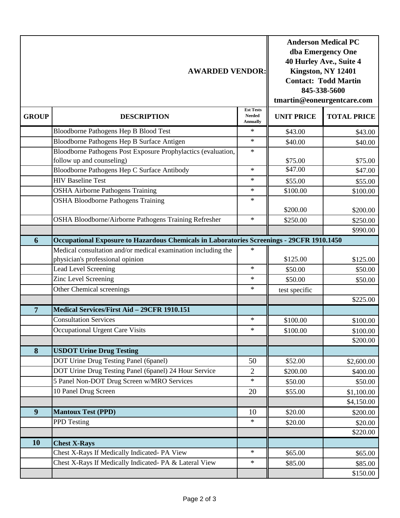| <b>AWARDED VENDOR:</b> |                                                                                           |                                                      | <b>Anderson Medical PC</b><br>dba Emergency One<br>40 Hurley Ave., Suite 4<br>Kingston, NY 12401<br><b>Contact: Todd Martin</b><br>845-338-5600<br>tmartin@eoneurgentcare.com |                    |
|------------------------|-------------------------------------------------------------------------------------------|------------------------------------------------------|-------------------------------------------------------------------------------------------------------------------------------------------------------------------------------|--------------------|
| <b>GROUP</b>           | <b>DESCRIPTION</b>                                                                        | <b>Est Tests</b><br><b>Needed</b><br><b>Annually</b> | <b>UNIT PRICE</b>                                                                                                                                                             | <b>TOTAL PRICE</b> |
|                        | Bloodborne Pathogens Hep B Blood Test                                                     | $\ast$                                               | \$43.00                                                                                                                                                                       | \$43.00            |
|                        | Bloodborne Pathogens Hep B Surface Antigen                                                | $\ast$                                               | \$40.00                                                                                                                                                                       | \$40.00            |
|                        | Bloodborne Pathogens Post Exposure Prophylactics (evaluation,                             | $\ast$                                               |                                                                                                                                                                               |                    |
|                        | follow up and counseling)                                                                 |                                                      | \$75.00                                                                                                                                                                       | \$75.00            |
|                        | Bloodborne Pathogens Hep C Surface Antibody                                               | $\ast$                                               | \$47.00                                                                                                                                                                       | \$47.00            |
|                        | <b>HIV Baseline Test</b>                                                                  | $\ast$                                               | \$55.00                                                                                                                                                                       | \$55.00            |
|                        | <b>OSHA Airborne Pathogens Training</b>                                                   | $\ast$                                               | \$100.00                                                                                                                                                                      | \$100.00           |
|                        | <b>OSHA Bloodborne Pathogens Training</b>                                                 | $\ast$                                               |                                                                                                                                                                               |                    |
|                        |                                                                                           |                                                      | \$200.00                                                                                                                                                                      | \$200.00           |
|                        | OSHA Bloodborne/Airborne Pathogens Training Refresher                                     | $\ast$                                               | \$250.00                                                                                                                                                                      | \$250.00           |
|                        |                                                                                           |                                                      |                                                                                                                                                                               | \$990.00           |
| 6                      | Occupational Exposure to Hazardous Chemicals in Laboratories Screenings - 29CFR 1910.1450 |                                                      |                                                                                                                                                                               |                    |
|                        | Medical consultation and/or medical examination including the                             | $\ast$                                               |                                                                                                                                                                               |                    |
|                        | physician's professional opinion                                                          |                                                      | \$125.00                                                                                                                                                                      | \$125.00           |
|                        | Lead Level Screening                                                                      | $\ast$                                               | \$50.00                                                                                                                                                                       | \$50.00            |
|                        | Zinc Level Screening                                                                      | $\ast$                                               | \$50.00                                                                                                                                                                       | \$50.00            |
|                        | Other Chemical screenings                                                                 | $\ast$                                               | test specific                                                                                                                                                                 |                    |
|                        |                                                                                           |                                                      |                                                                                                                                                                               | \$225.00           |
| $\overline{7}$         | Medical Services/First Aid - 29CFR 1910.151                                               |                                                      |                                                                                                                                                                               |                    |
|                        | <b>Consultation Services</b>                                                              | $\ast$                                               | \$100.00                                                                                                                                                                      | \$100.00           |
|                        | Occupational Urgent Care Visits                                                           | $\ast$                                               | \$100.00                                                                                                                                                                      | \$100.00           |
|                        |                                                                                           |                                                      |                                                                                                                                                                               | \$200.00           |
| 8                      | <b>USDOT Urine Drug Testing</b>                                                           |                                                      |                                                                                                                                                                               |                    |
|                        | DOT Urine Drug Testing Panel (6panel)                                                     | 50                                                   | \$52.00                                                                                                                                                                       | \$2,600.00         |
|                        | DOT Urine Drug Testing Panel (6panel) 24 Hour Service                                     | $\overline{2}$                                       | \$200.00                                                                                                                                                                      | \$400.00           |
|                        | 5 Panel Non-DOT Drug Screen w/MRO Services                                                | $\ast$                                               | \$50.00                                                                                                                                                                       | \$50.00            |
|                        | 10 Panel Drug Screen                                                                      | 20                                                   | \$55.00                                                                                                                                                                       | \$1,100.00         |
|                        |                                                                                           |                                                      |                                                                                                                                                                               | \$4,150.00         |
| 9                      | <b>Mantoux Test (PPD)</b>                                                                 | 10                                                   | \$20.00                                                                                                                                                                       | \$200.00           |
|                        | PPD Testing                                                                               | $\ast$                                               | \$20.00                                                                                                                                                                       | \$20.00            |
|                        |                                                                                           |                                                      |                                                                                                                                                                               | \$220.00           |
| 10                     | <b>Chest X-Rays</b>                                                                       |                                                      |                                                                                                                                                                               |                    |
|                        | Chest X-Rays If Medically Indicated- PA View                                              | $\ast$                                               | \$65.00                                                                                                                                                                       | \$65.00            |
|                        | Chest X-Rays If Medically Indicated- PA & Lateral View                                    | $\ast$                                               | \$85.00                                                                                                                                                                       | \$85.00            |
|                        |                                                                                           |                                                      |                                                                                                                                                                               | \$150.00           |